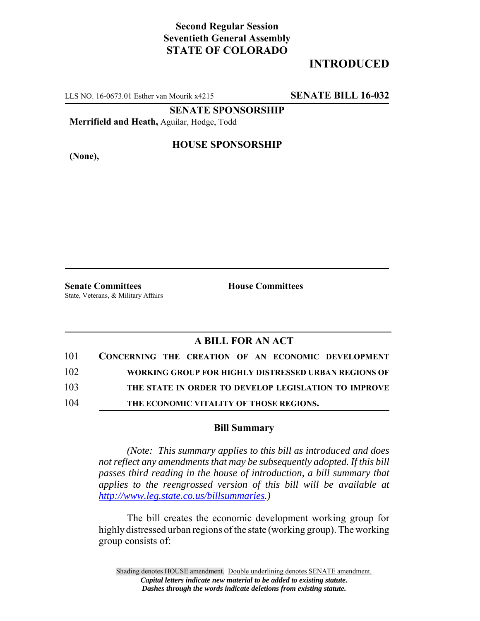# **Second Regular Session Seventieth General Assembly STATE OF COLORADO**

# **INTRODUCED**

LLS NO. 16-0673.01 Esther van Mourik x4215 **SENATE BILL 16-032**

**SENATE SPONSORSHIP**

**Merrifield and Heath,** Aguilar, Hodge, Todd

**(None),**

### **HOUSE SPONSORSHIP**

**Senate Committees House Committees** State, Veterans, & Military Affairs

### **A BILL FOR AN ACT**

| 101 | CONCERNING THE CREATION OF AN ECONOMIC DEVELOPMENT   |
|-----|------------------------------------------------------|
| 102 | WORKING GROUP FOR HIGHLY DISTRESSED URBAN REGIONS OF |
| 103 | THE STATE IN ORDER TO DEVELOP LEGISLATION TO IMPROVE |
| 104 | THE ECONOMIC VITALITY OF THOSE REGIONS.              |

#### **Bill Summary**

*(Note: This summary applies to this bill as introduced and does not reflect any amendments that may be subsequently adopted. If this bill passes third reading in the house of introduction, a bill summary that applies to the reengrossed version of this bill will be available at http://www.leg.state.co.us/billsummaries.)*

The bill creates the economic development working group for highly distressed urban regions of the state (working group). The working group consists of:

Shading denotes HOUSE amendment. Double underlining denotes SENATE amendment. *Capital letters indicate new material to be added to existing statute. Dashes through the words indicate deletions from existing statute.*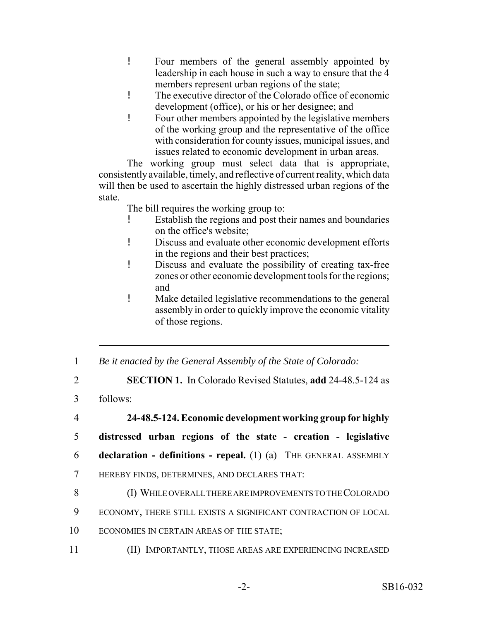- ! Four members of the general assembly appointed by leadership in each house in such a way to ensure that the 4 members represent urban regions of the state;
- ! The executive director of the Colorado office of economic development (office), or his or her designee; and
- ! Four other members appointed by the legislative members of the working group and the representative of the office with consideration for county issues, municipal issues, and issues related to economic development in urban areas.

The working group must select data that is appropriate, consistently available, timely, and reflective of current reality, which data will then be used to ascertain the highly distressed urban regions of the state.

The bill requires the working group to:

- ! Establish the regions and post their names and boundaries on the office's website;
- ! Discuss and evaluate other economic development efforts in the regions and their best practices;
- ! Discuss and evaluate the possibility of creating tax-free zones or other economic development tools for the regions; and
- ! Make detailed legislative recommendations to the general assembly in order to quickly improve the economic vitality of those regions.
- 1 *Be it enacted by the General Assembly of the State of Colorado:*
- 2 **SECTION 1.** In Colorado Revised Statutes, **add** 24-48.5-124 as
- 3 follows:

4 **24-48.5-124. Economic development working group for highly**

- 5 **distressed urban regions of the state creation legislative**
- 6 **declaration definitions repeal.** (1) (a) THE GENERAL ASSEMBLY
- 7 HEREBY FINDS, DETERMINES, AND DECLARES THAT:
- 8 (I) WHILE OVERALL THERE ARE IMPROVEMENTS TO THE COLORADO
- 9 ECONOMY, THERE STILL EXISTS A SIGNIFICANT CONTRACTION OF LOCAL
- 10 ECONOMIES IN CERTAIN AREAS OF THE STATE;
- 11 (II) IMPORTANTLY, THOSE AREAS ARE EXPERIENCING INCREASED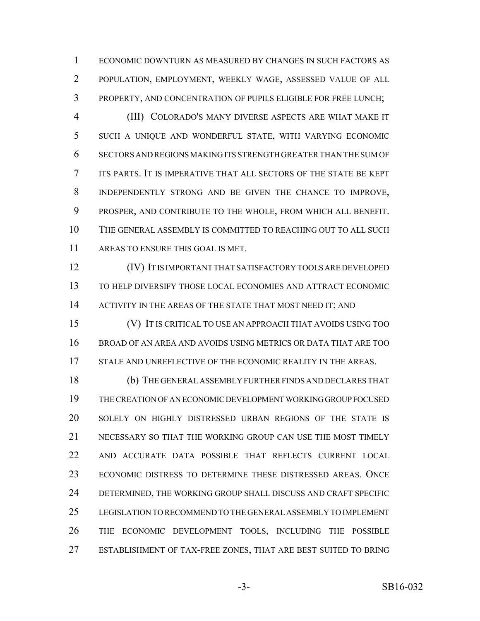ECONOMIC DOWNTURN AS MEASURED BY CHANGES IN SUCH FACTORS AS POPULATION, EMPLOYMENT, WEEKLY WAGE, ASSESSED VALUE OF ALL PROPERTY, AND CONCENTRATION OF PUPILS ELIGIBLE FOR FREE LUNCH;

 (III) COLORADO'S MANY DIVERSE ASPECTS ARE WHAT MAKE IT SUCH A UNIQUE AND WONDERFUL STATE, WITH VARYING ECONOMIC SECTORS AND REGIONS MAKING ITS STRENGTH GREATER THAN THE SUM OF ITS PARTS. IT IS IMPERATIVE THAT ALL SECTORS OF THE STATE BE KEPT INDEPENDENTLY STRONG AND BE GIVEN THE CHANCE TO IMPROVE, PROSPER, AND CONTRIBUTE TO THE WHOLE, FROM WHICH ALL BENEFIT. THE GENERAL ASSEMBLY IS COMMITTED TO REACHING OUT TO ALL SUCH AREAS TO ENSURE THIS GOAL IS MET.

 (IV) IT IS IMPORTANT THAT SATISFACTORY TOOLS ARE DEVELOPED TO HELP DIVERSIFY THOSE LOCAL ECONOMIES AND ATTRACT ECONOMIC 14 ACTIVITY IN THE AREAS OF THE STATE THAT MOST NEED IT; AND

 (V) IT IS CRITICAL TO USE AN APPROACH THAT AVOIDS USING TOO BROAD OF AN AREA AND AVOIDS USING METRICS OR DATA THAT ARE TOO 17 STALE AND UNREFLECTIVE OF THE ECONOMIC REALITY IN THE AREAS.

 (b) THE GENERAL ASSEMBLY FURTHER FINDS AND DECLARES THAT THE CREATION OF AN ECONOMIC DEVELOPMENT WORKING GROUP FOCUSED SOLELY ON HIGHLY DISTRESSED URBAN REGIONS OF THE STATE IS NECESSARY SO THAT THE WORKING GROUP CAN USE THE MOST TIMELY AND ACCURATE DATA POSSIBLE THAT REFLECTS CURRENT LOCAL ECONOMIC DISTRESS TO DETERMINE THESE DISTRESSED AREAS. ONCE DETERMINED, THE WORKING GROUP SHALL DISCUSS AND CRAFT SPECIFIC LEGISLATION TO RECOMMEND TO THE GENERAL ASSEMBLY TO IMPLEMENT THE ECONOMIC DEVELOPMENT TOOLS, INCLUDING THE POSSIBLE ESTABLISHMENT OF TAX-FREE ZONES, THAT ARE BEST SUITED TO BRING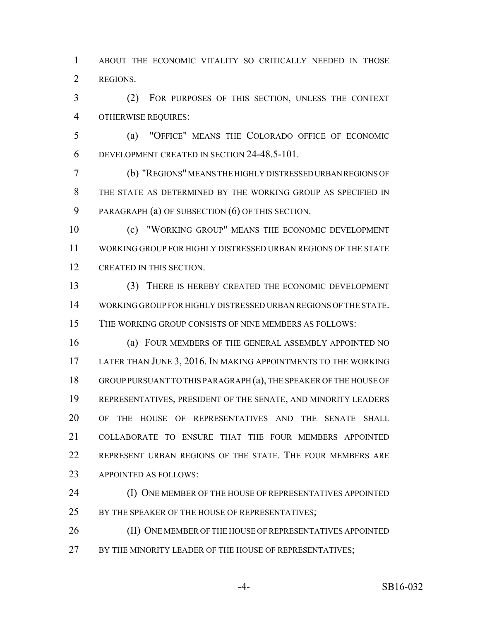ABOUT THE ECONOMIC VITALITY SO CRITICALLY NEEDED IN THOSE REGIONS.

 (2) FOR PURPOSES OF THIS SECTION, UNLESS THE CONTEXT OTHERWISE REQUIRES:

 (a) "OFFICE" MEANS THE COLORADO OFFICE OF ECONOMIC DEVELOPMENT CREATED IN SECTION 24-48.5-101.

 (b) "REGIONS" MEANS THE HIGHLY DISTRESSED URBAN REGIONS OF THE STATE AS DETERMINED BY THE WORKING GROUP AS SPECIFIED IN PARAGRAPH (a) OF SUBSECTION (6) OF THIS SECTION.

 (c) "WORKING GROUP" MEANS THE ECONOMIC DEVELOPMENT WORKING GROUP FOR HIGHLY DISTRESSED URBAN REGIONS OF THE STATE CREATED IN THIS SECTION.

 (3) THERE IS HEREBY CREATED THE ECONOMIC DEVELOPMENT WORKING GROUP FOR HIGHLY DISTRESSED URBAN REGIONS OF THE STATE. THE WORKING GROUP CONSISTS OF NINE MEMBERS AS FOLLOWS:

 (a) FOUR MEMBERS OF THE GENERAL ASSEMBLY APPOINTED NO LATER THAN JUNE 3, 2016. IN MAKING APPOINTMENTS TO THE WORKING GROUP PURSUANT TO THIS PARAGRAPH (a), THE SPEAKER OF THE HOUSE OF REPRESENTATIVES, PRESIDENT OF THE SENATE, AND MINORITY LEADERS OF THE HOUSE OF REPRESENTATIVES AND THE SENATE SHALL COLLABORATE TO ENSURE THAT THE FOUR MEMBERS APPOINTED REPRESENT URBAN REGIONS OF THE STATE. THE FOUR MEMBERS ARE APPOINTED AS FOLLOWS:

24 (I) ONE MEMBER OF THE HOUSE OF REPRESENTATIVES APPOINTED 25 BY THE SPEAKER OF THE HOUSE OF REPRESENTATIVES;

26 (II) ONE MEMBER OF THE HOUSE OF REPRESENTATIVES APPOINTED 27 BY THE MINORITY LEADER OF THE HOUSE OF REPRESENTATIVES;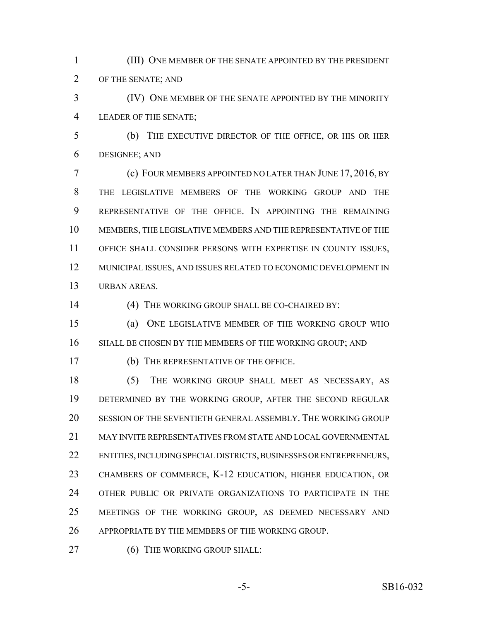(III) ONE MEMBER OF THE SENATE APPOINTED BY THE PRESIDENT OF THE SENATE; AND

 (IV) ONE MEMBER OF THE SENATE APPOINTED BY THE MINORITY LEADER OF THE SENATE;

 (b) THE EXECUTIVE DIRECTOR OF THE OFFICE, OR HIS OR HER DESIGNEE; AND

 (c) FOUR MEMBERS APPOINTED NO LATER THAN JUNE 17, 2016, BY THE LEGISLATIVE MEMBERS OF THE WORKING GROUP AND THE REPRESENTATIVE OF THE OFFICE. IN APPOINTING THE REMAINING MEMBERS, THE LEGISLATIVE MEMBERS AND THE REPRESENTATIVE OF THE OFFICE SHALL CONSIDER PERSONS WITH EXPERTISE IN COUNTY ISSUES, MUNICIPAL ISSUES, AND ISSUES RELATED TO ECONOMIC DEVELOPMENT IN URBAN AREAS.

(4) THE WORKING GROUP SHALL BE CO-CHAIRED BY:

 (a) ONE LEGISLATIVE MEMBER OF THE WORKING GROUP WHO SHALL BE CHOSEN BY THE MEMBERS OF THE WORKING GROUP; AND

(b) THE REPRESENTATIVE OF THE OFFICE.

 (5) THE WORKING GROUP SHALL MEET AS NECESSARY, AS DETERMINED BY THE WORKING GROUP, AFTER THE SECOND REGULAR SESSION OF THE SEVENTIETH GENERAL ASSEMBLY. THE WORKING GROUP MAY INVITE REPRESENTATIVES FROM STATE AND LOCAL GOVERNMENTAL ENTITIES, INCLUDING SPECIAL DISTRICTS, BUSINESSES OR ENTREPRENEURS, CHAMBERS OF COMMERCE, K-12 EDUCATION, HIGHER EDUCATION, OR OTHER PUBLIC OR PRIVATE ORGANIZATIONS TO PARTICIPATE IN THE MEETINGS OF THE WORKING GROUP, AS DEEMED NECESSARY AND APPROPRIATE BY THE MEMBERS OF THE WORKING GROUP.

27 (6) THE WORKING GROUP SHALL: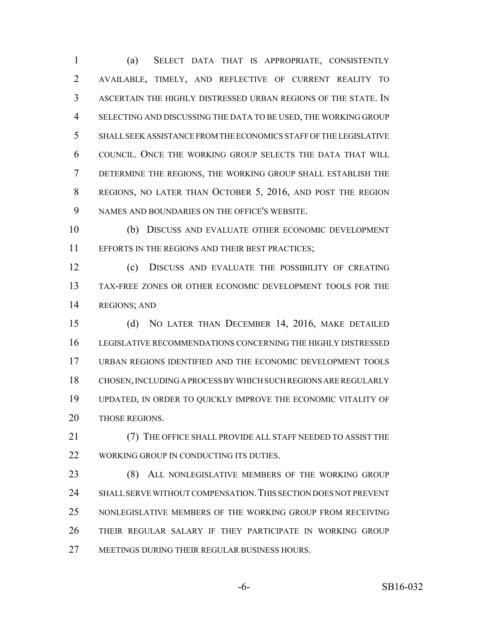(a) SELECT DATA THAT IS APPROPRIATE, CONSISTENTLY AVAILABLE, TIMELY, AND REFLECTIVE OF CURRENT REALITY TO ASCERTAIN THE HIGHLY DISTRESSED URBAN REGIONS OF THE STATE. IN SELECTING AND DISCUSSING THE DATA TO BE USED, THE WORKING GROUP SHALL SEEK ASSISTANCE FROM THE ECONOMICS STAFF OF THE LEGISLATIVE COUNCIL. ONCE THE WORKING GROUP SELECTS THE DATA THAT WILL DETERMINE THE REGIONS, THE WORKING GROUP SHALL ESTABLISH THE REGIONS, NO LATER THAN OCTOBER 5, 2016, AND POST THE REGION NAMES AND BOUNDARIES ON THE OFFICE'S WEBSITE.

 (b) DISCUSS AND EVALUATE OTHER ECONOMIC DEVELOPMENT EFFORTS IN THE REGIONS AND THEIR BEST PRACTICES;

 (c) DISCUSS AND EVALUATE THE POSSIBILITY OF CREATING TAX-FREE ZONES OR OTHER ECONOMIC DEVELOPMENT TOOLS FOR THE REGIONS; AND

 (d) NO LATER THAN DECEMBER 14, 2016, MAKE DETAILED LEGISLATIVE RECOMMENDATIONS CONCERNING THE HIGHLY DISTRESSED URBAN REGIONS IDENTIFIED AND THE ECONOMIC DEVELOPMENT TOOLS CHOSEN, INCLUDING A PROCESS BY WHICH SUCH REGIONS ARE REGULARLY UPDATED, IN ORDER TO QUICKLY IMPROVE THE ECONOMIC VITALITY OF 20 THOSE REGIONS.

 (7) THE OFFICE SHALL PROVIDE ALL STAFF NEEDED TO ASSIST THE 22 WORKING GROUP IN CONDUCTING ITS DUTIES.

23 (8) ALL NONLEGISLATIVE MEMBERS OF THE WORKING GROUP SHALL SERVE WITHOUT COMPENSATION.THIS SECTION DOES NOT PREVENT NONLEGISLATIVE MEMBERS OF THE WORKING GROUP FROM RECEIVING THEIR REGULAR SALARY IF THEY PARTICIPATE IN WORKING GROUP MEETINGS DURING THEIR REGULAR BUSINESS HOURS.